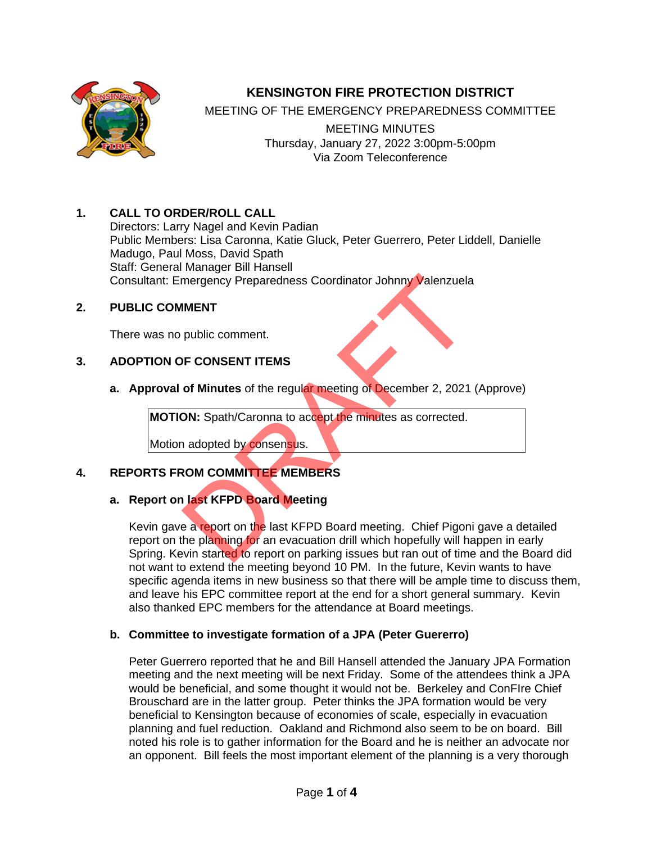

# **KENSINGTON FIRE PROTECTION DISTRICT**

MEETING OF THE EMERGENCY PREPAREDNESS COMMITTEE

MEETING MINUTES Thursday, January 27, 2022 3:00pm-5:00pm Via Zoom Teleconference

## **1. CALL TO ORDER/ROLL CALL**

Directors: Larry Nagel and Kevin Padian Public Members: Lisa Caronna, Katie Gluck, Peter Guerrero, Peter Liddell, Danielle Madugo, Paul Moss, David Spath Staff: General Manager Bill Hansell Consultant: Emergency Preparedness Coordinator Johnny Valenzuela

#### **2. PUBLIC COMMENT**

There was no public comment.

#### **3. ADOPTION OF CONSENT ITEMS**

**a. Approval of Minutes** of the regular meeting of December 2, 2021 (Approve)

**MOTION:** Spath/Caronna to accept the minutes as corrected.

Motion adopted by consensus.

### **4. REPORTS FROM COMMITTEE MEMBERS**

## **a. Report on last KFPD Board Meeting**

Kevin gave a report on the last KFPD Board meeting. Chief Pigoni gave a detailed report on the planning for an evacuation drill which hopefully will happen in early Spring. Kevin started to report on parking issues but ran out of time and the Board did not want to extend the meeting beyond 10 PM. In the future, Kevin wants to have specific agenda items in new business so that there will be ample time to discuss them, and leave his EPC committee report at the end for a short general summary. Kevin also thanked EPC members for the attendance at Board meetings. MENT<br>
IMENT<br>
public comment.<br>
DF CONSENT ITEMS<br>
of Minutes of the regular meeting of December 2, 2021<br>
DN: Spath/Caronna to accept the minutes as corrected.<br>
Ladopted by consensus.<br>
ROM COMMITTEE MEMBERS<br>
Last KFPD Board M

### **b. Committee to investigate formation of a JPA (Peter Guererro)**

Peter Guerrero reported that he and Bill Hansell attended the January JPA Formation meeting and the next meeting will be next Friday. Some of the attendees think a JPA would be beneficial, and some thought it would not be. Berkeley and ConFIre Chief Brouschard are in the latter group. Peter thinks the JPA formation would be very beneficial to Kensington because of economies of scale, especially in evacuation planning and fuel reduction. Oakland and Richmond also seem to be on board. Bill noted his role is to gather information for the Board and he is neither an advocate nor an opponent. Bill feels the most important element of the planning is a very thorough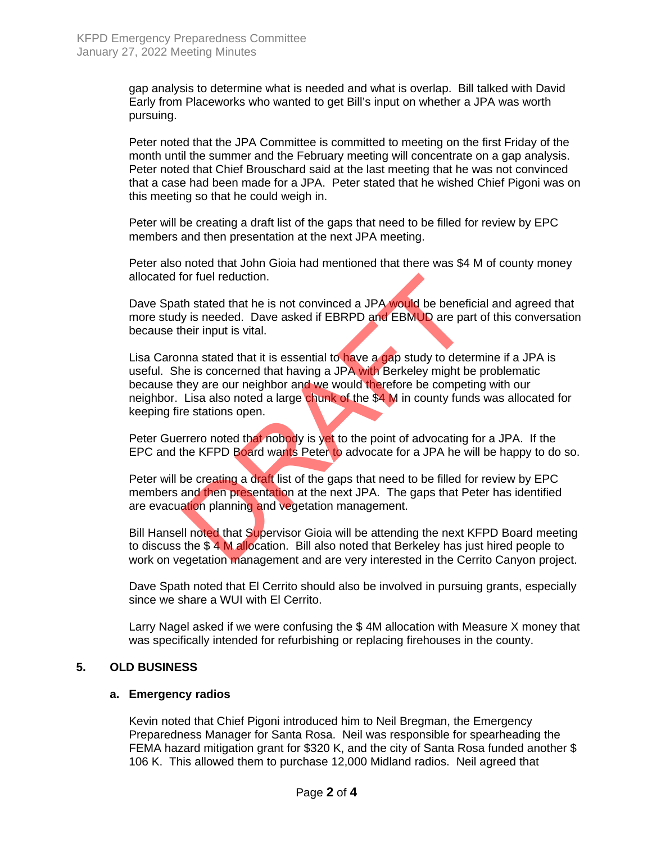gap analysis to determine what is needed and what is overlap. Bill talked with David Early from Placeworks who wanted to get Bill's input on whether a JPA was worth pursuing.

Peter noted that the JPA Committee is committed to meeting on the first Friday of the month until the summer and the February meeting will concentrate on a gap analysis. Peter noted that Chief Brouschard said at the last meeting that he was not convinced that a case had been made for a JPA. Peter stated that he wished Chief Pigoni was on this meeting so that he could weigh in.

Peter will be creating a draft list of the gaps that need to be filled for review by EPC members and then presentation at the next JPA meeting.

Peter also noted that John Gioia had mentioned that there was \$4 M of county money allocated for fuel reduction.

Dave Spath stated that he is not convinced a JPA would be beneficial and agreed that more study is needed. Dave asked if EBRPD and EBMUD are part of this conversation because their input is vital.

Lisa Caronna stated that it is essential to have a gap study to determine if a JPA is useful. She is concerned that having a JPA with Berkeley might be problematic because they are our neighbor and we would therefore be competing with our neighbor. Lisa also noted a large chunk of the \$4 M in county funds was allocated for keeping fire stations open. for fuel reduction.<br>
th stated that he is not convinced a JPA would be benefit y is needed. Dave asked if EBRPD and EBMUD are pat<br>
heir input is vital.<br>
nna stated that it is essential to have a gap study to dete<br>
he is co

Peter Guerrero noted that nobody is yet to the point of advocating for a JPA. If the EPC and the KFPD Board wants Peter to advocate for a JPA he will be happy to do so.

Peter will be creating a draft list of the gaps that need to be filled for review by EPC members and then presentation at the next JPA. The gaps that Peter has identified are evacuation planning and vegetation management.

Bill Hansell noted that Supervisor Gioia will be attending the next KFPD Board meeting to discuss the \$ 4 M allocation. Bill also noted that Berkeley has just hired people to work on vegetation management and are very interested in the Cerrito Canyon project.

Dave Spath noted that El Cerrito should also be involved in pursuing grants, especially since we share a WUI with El Cerrito.

Larry Nagel asked if we were confusing the \$ 4M allocation with Measure X money that was specifically intended for refurbishing or replacing firehouses in the county.

#### **5. OLD BUSINESS**

#### **a. Emergency radios**

Kevin noted that Chief Pigoni introduced him to Neil Bregman, the Emergency Preparedness Manager for Santa Rosa. Neil was responsible for spearheading the FEMA hazard mitigation grant for \$320 K, and the city of Santa Rosa funded another \$ 106 K. This allowed them to purchase 12,000 Midland radios. Neil agreed that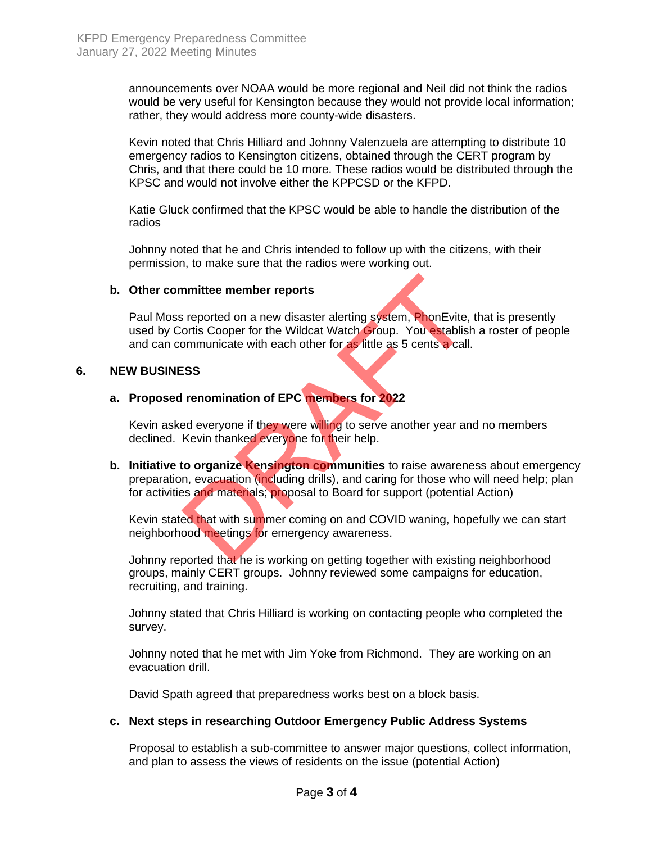announcements over NOAA would be more regional and Neil did not think the radios would be very useful for Kensington because they would not provide local information; rather, they would address more county-wide disasters.

Kevin noted that Chris Hilliard and Johnny Valenzuela are attempting to distribute 10 emergency radios to Kensington citizens, obtained through the CERT program by Chris, and that there could be 10 more. These radios would be distributed through the KPSC and would not involve either the KPPCSD or the KFPD.

Katie Gluck confirmed that the KPSC would be able to handle the distribution of the radios

Johnny noted that he and Chris intended to follow up with the citizens, with their permission, to make sure that the radios were working out.

#### **b. Other committee member reports**

Paul Moss reported on a new disaster alerting system, PhonEvite, that is presently used by Cortis Cooper for the Wildcat Watch Group. You establish a roster of people and can communicate with each other for as little as 5 cents a call.

#### **6. NEW BUSINESS**

## **a. Proposed renomination of EPC members for 2022**

Kevin asked everyone if they were willing to serve another year and no members declined. Kevin thanked everyone for their help.

**b. Initiative to organize Kensington communities** to raise awareness about emergency preparation, evacuation (including drills), and caring for those who will need help; plan for activities and materials; proposal to Board for support (potential Action) mmittee member reports<br>
s reported on a new disaster alerting system, PhonEvite,<br>
ortis Cooper for the Wildcat Watch Group. You establish<br>
smmunicate with each other for as little as 5 cents a call.<br>
SSS<br>
I renomination of

Kevin stated that with summer coming on and COVID waning, hopefully we can start neighborhood meetings for emergency awareness.

Johnny reported that he is working on getting together with existing neighborhood groups, mainly CERT groups. Johnny reviewed some campaigns for education, recruiting, and training.

Johnny stated that Chris Hilliard is working on contacting people who completed the survey.

Johnny noted that he met with Jim Yoke from Richmond. They are working on an evacuation drill.

David Spath agreed that preparedness works best on a block basis.

#### **c. Next steps in researching Outdoor Emergency Public Address Systems**

Proposal to establish a sub-committee to answer major questions, collect information, and plan to assess the views of residents on the issue (potential Action)